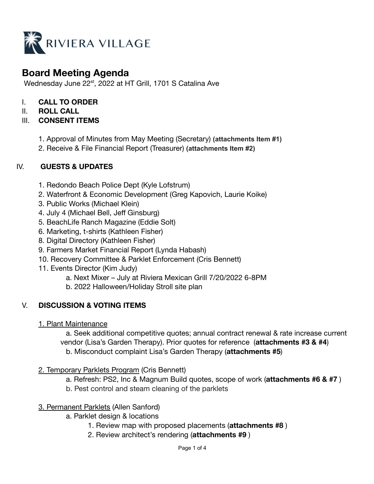

# **Board Meeting Agenda**

Wednesday June 22<sup>st</sup>, 2022 at HT Grill, 1701 S Catalina Ave

- I. **CALL TO ORDER**
- II. **ROLL CALL**

# III. **CONSENT ITEMS**

- 1. Approval of Minutes from May Meeting (Secretary) **(attachments Item #1)**
- 2. Receive & File Financial Report (Treasurer) **(attachments Item #2)**

# IV. **GUESTS & UPDATES**

- 1. Redondo Beach Police Dept (Kyle Lofstrum)
- 2. Waterfront & Economic Development (Greg Kapovich, Laurie Koike)
- 3. Public Works (Michael Klein)
- 4. July 4 (Michael Bell, Jeff Ginsburg)
- 5. BeachLife Ranch Magazine (Eddie Solt)
- 6. Marketing, t-shirts (Kathleen Fisher)
- 8. Digital Directory (Kathleen Fisher)
- 9. Farmers Market Financial Report (Lynda Habash)
- 10. Recovery Committee & Parklet Enforcement (Cris Bennett)
- 11. Events Director (Kim Judy)
	- a. Next Mixer July at Riviera Mexican Grill 7/20/2022 6-8PM
	- b. 2022 Halloween/Holiday Stroll site plan

# V. **DISCUSSION & VOTING ITEMS**

1. Plant Maintenance

a. Seek additional competitive quotes; annual contract renewal & rate increase current vendor (Lisa's Garden Therapy). Prior quotes for reference (**attachments #3 & #4**) b. Misconduct complaint Lisa's Garden Therapy (**attachments #5**)

- 2. Temporary Parklets Program (Cris Bennett)
	- a. Refresh: PS2, Inc & Magnum Build quotes, scope of work (**attachments #6 & #7** )
	- b. Pest control and steam cleaning of the parklets
- 3. Permanent Parklets (Allen Sanford)
	- a. Parklet design & locations
		- 1. Review map with proposed placements (**attachments #8** )
		- 2. Review architect's rendering (**attachments #9** )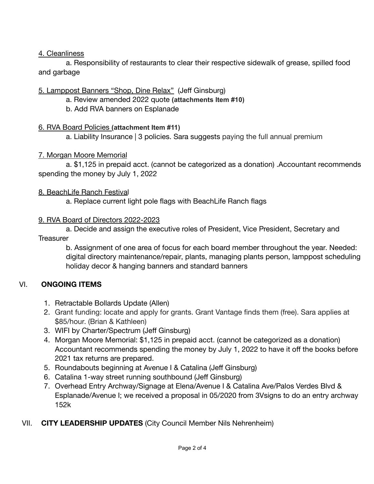## 4. Cleanliness

a. Responsibility of restaurants to clear their respective sidewalk of grease, spilled food and garbage

# 5. Lamppost Banners "Shop, Dine Relax" (Jeff Ginsburg)

a. Review amended 2022 quote **(attachments Item #10)**

b. Add RVA banners on Esplanade

# 6. RVA Board Policies **(attachment Item #11)**

a. Liability Insurance | 3 policies. Sara suggests paying the full annual premium

## 7. Morgan Moore Memorial

a. \$1,125 in prepaid acct. (cannot be categorized as a donation) .Accountant recommends spending the money by July 1, 2022

## 8. BeachLife Ranch Festival

a. Replace current light pole flags with BeachLife Ranch flags

## 9. RVA Board of Directors 2022-2023

a. Decide and assign the executive roles of President, Vice President, Secretary and **Treasurer** 

b. Assignment of one area of focus for each board member throughout the year. Needed: digital directory maintenance/repair, plants, managing plants person, lamppost scheduling holiday decor & hanging banners and standard banners

# VI. **ONGOING ITEMS**

- 1. Retractable Bollards Update (Allen)
- 2. Grant funding: locate and apply for grants. Grant Vantage finds them (free). Sara applies at \$85/hour. (Brian & Kathleen)
- 3. WIFI by Charter/Spectrum (Jeff Ginsburg)
- 4. Morgan Moore Memorial: \$1,125 in prepaid acct. (cannot be categorized as a donation) Accountant recommends spending the money by July 1, 2022 to have it off the books before 2021 tax returns are prepared.
- 5. Roundabouts beginning at Avenue I & Catalina (Jeff Ginsburg)
- 6. Catalina 1-way street running southbound (Jeff Ginsburg)
- 7. Overhead Entry Archway/Signage at Elena/Avenue I & Catalina Ave/Palos Verdes Blvd & Esplanade/Avenue I; we received a proposal in 05/2020 from 3Vsigns to do an entry archway 152k
- VII. **CITY LEADERSHIP UPDATES** (City Council Member Nils Nehrenheim)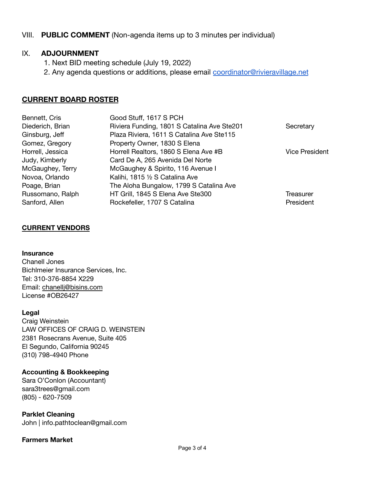#### VIII. **PUBLIC COMMENT** (Non-agenda items up to 3 minutes per individual)

#### IX. **ADJOURNMENT**

- 1. Next BID meeting schedule (July 19, 2022)
- 2. Any agenda questions or additions, please email **[coordinator@rivieravillage.net](mailto:coordinator@rivieravillage.net)**

### **CURRENT BOARD ROSTER**

| Bennett, Cris    | Good Stuff, 1617 S PCH                      |                       |
|------------------|---------------------------------------------|-----------------------|
| Diederich, Brian | Riviera Funding, 1801 S Catalina Ave Ste201 | Secretary             |
| Ginsburg, Jeff   | Plaza Riviera, 1611 S Catalina Ave Ste115   |                       |
| Gomez, Gregory   | Property Owner, 1830 S Elena                |                       |
| Horrell, Jessica | Horrell Realtors, 1860 S Elena Ave #B       | <b>Vice President</b> |
| Judy, Kimberly   | Card De A, 265 Avenida Del Norte            |                       |
| McGaughey, Terry | McGaughey & Spirito, 116 Avenue I           |                       |
| Novoa, Orlando   | Kalihi, 1815 1/2 S Catalina Ave             |                       |
| Poage, Brian     | The Aloha Bungalow, 1799 S Catalina Ave     |                       |
| Russomano, Ralph | HT Grill, 1845 S Elena Ave Ste300           | Treasurer             |
| Sanford, Allen   | Rockefeller, 1707 S Catalina                | President             |

#### **CURRENT VENDORS**

#### **Insurance**

Chanell Jones Bichlmeier Insurance Services, Inc. Tel: 310-376-8854 X229 Email: [chanellj@bisins.com](mailto:chanellj@bisins.com) License #OB26427

#### **Legal**

Craig Weinstein LAW OFFICES OF CRAIG D. WEINSTEIN 2381 Rosecrans Avenue, Suite 405 El Segundo, California 90245 (310) 798-4940 Phone

#### **Accounting & Bookkeeping**

Sara O'Conlon (Accountant) sara3trees@gmail.com (805) - 620-7509

#### **Parklet Cleaning**

John | info.pathtoclean@gmail.com

#### **Farmers Market**